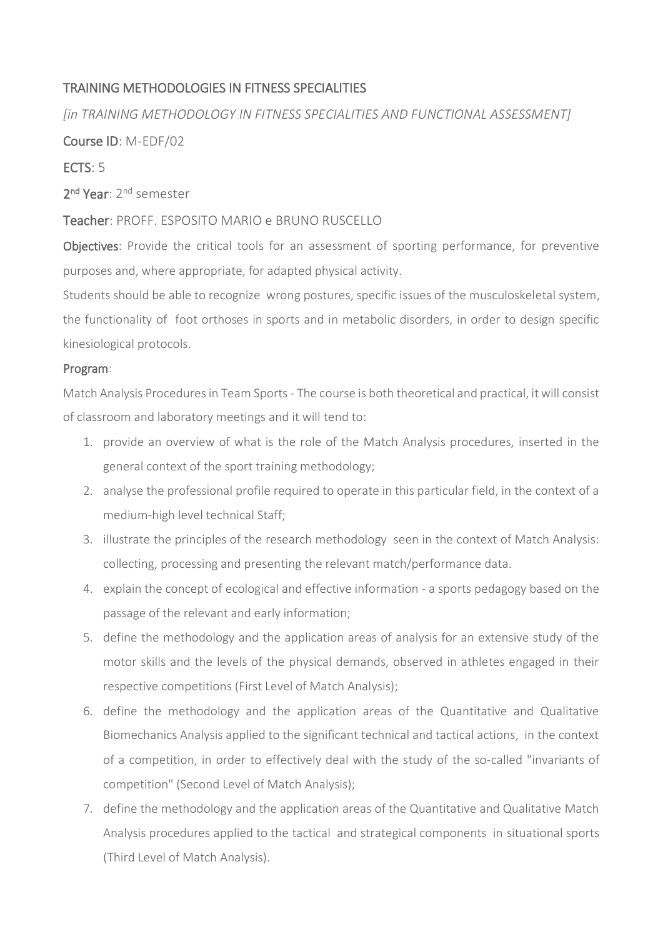## TRAINING METHODOLOGIES IN FITNESS SPECIALITIES

*[in TRAINING METHODOLOGY IN FITNESS SPECIALITIES AND FUNCTIONAL ASSESSMENT]*

Course ID: M-EDF/02

ECTS: 5

2<sup>nd</sup> Year: 2<sup>nd</sup> semester

## Teacher: PROFF. ESPOSITO MARIO e BRUNO RUSCELLO

Objectives: Provide the critical tools for an assessment of sporting performance, for preventive purposes and, where appropriate, for adapted physical activity.

Students should be able to recognize wrong postures, specific issues of the musculoskeletal system, the functionality of foot orthoses in sports and in metabolic disorders, in order to design specific kinesiological protocols.

## Program:

Match Analysis Procedures in Team Sports - The course is both theoretical and practical, it will consist of classroom and laboratory meetings and it will tend to:

- 1. provide an overview of what is the role of the Match Analysis procedures, inserted in the general context of the sport training methodology;
- 2. analyse the professional profile required to operate in this particular field, in the context of a medium-high level technical Staff;
- 3. illustrate the principles of the research methodology seen in the context of Match Analysis: collecting, processing and presenting the relevant match/performance data.
- 4. explain the concept of ecological and effective information a sports pedagogy based on the passage of the relevant and early information;
- 5. define the methodology and the application areas of analysis for an extensive study of the motor skills and the levels of the physical demands, observed in athletes engaged in their respective competitions (First Level of Match Analysis);
- 6. define the methodology and the application areas of the Quantitative and Qualitative Biomechanics Analysis applied to the significant technical and tactical actions, in the context of a competition, in order to effectively deal with the study of the so-called "invariants of competition" (Second Level of Match Analysis);
- 7. define the methodology and the application areas of the Quantitative and Qualitative Match Analysis procedures applied to the tactical and strategical components in situational sports (Third Level of Match Analysis).